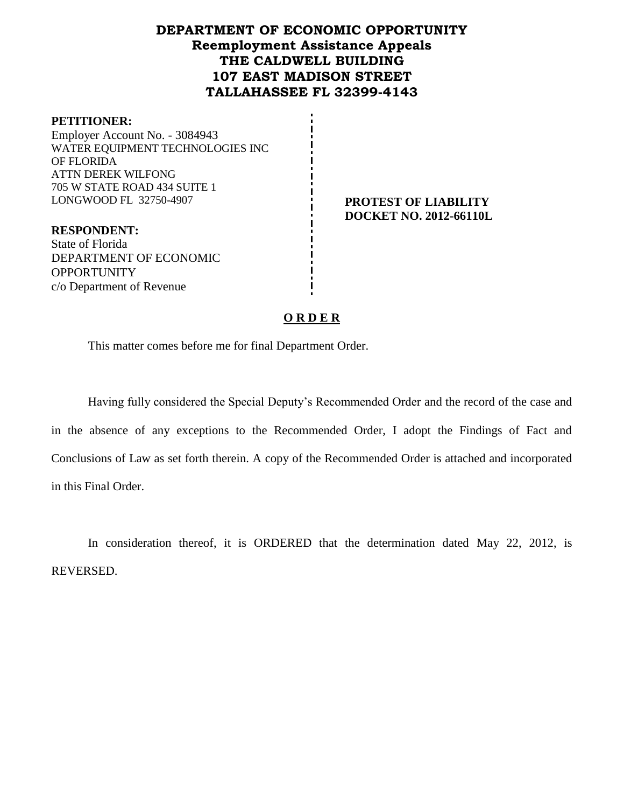# **DEPARTMENT OF ECONOMIC OPPORTUNITY Reemployment Assistance Appeals THE CALDWELL BUILDING 107 EAST MADISON STREET TALLAHASSEE FL 32399-4143**

#### **PETITIONER:**

Employer Account No. - 3084943 WATER EQUIPMENT TECHNOLOGIES INC OF FLORIDA ATTN DEREK WILFONG 705 W STATE ROAD 434 SUITE 1 LONGWOOD FL 32750-4907 **PROTEST OF LIABILITY**

**DOCKET NO. 2012-66110L**

**RESPONDENT:** State of Florida DEPARTMENT OF ECONOMIC **OPPORTUNITY** c/o Department of Revenue

## **O R D E R**

This matter comes before me for final Department Order.

Having fully considered the Special Deputy's Recommended Order and the record of the case and in the absence of any exceptions to the Recommended Order, I adopt the Findings of Fact and Conclusions of Law as set forth therein. A copy of the Recommended Order is attached and incorporated in this Final Order.

In consideration thereof, it is ORDERED that the determination dated May 22, 2012, is REVERSED.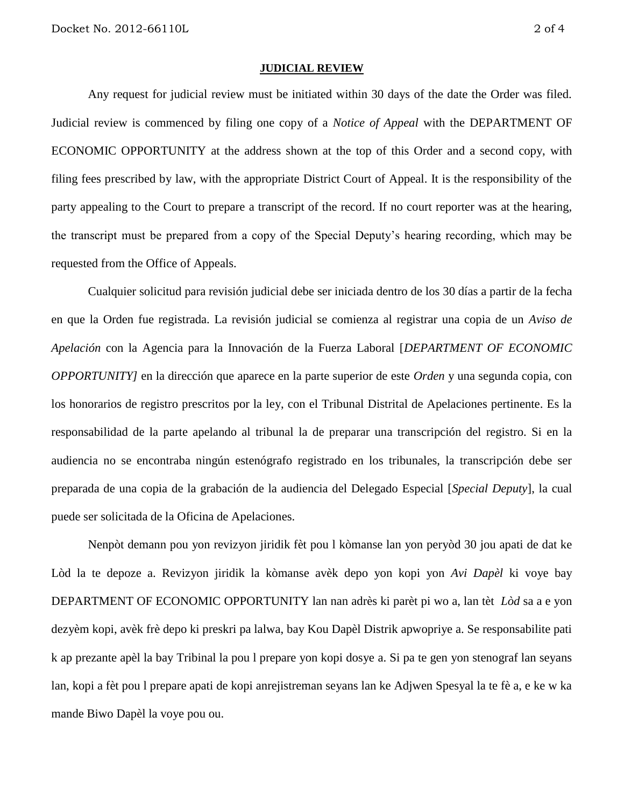#### **JUDICIAL REVIEW**

Any request for judicial review must be initiated within 30 days of the date the Order was filed. Judicial review is commenced by filing one copy of a *Notice of Appeal* with the DEPARTMENT OF ECONOMIC OPPORTUNITY at the address shown at the top of this Order and a second copy, with filing fees prescribed by law, with the appropriate District Court of Appeal. It is the responsibility of the party appealing to the Court to prepare a transcript of the record. If no court reporter was at the hearing, the transcript must be prepared from a copy of the Special Deputy's hearing recording, which may be requested from the Office of Appeals.

Cualquier solicitud para revisión judicial debe ser iniciada dentro de los 30 días a partir de la fecha en que la Orden fue registrada. La revisión judicial se comienza al registrar una copia de un *Aviso de Apelación* con la Agencia para la Innovación de la Fuerza Laboral [*DEPARTMENT OF ECONOMIC OPPORTUNITY]* en la dirección que aparece en la parte superior de este *Orden* y una segunda copia, con los honorarios de registro prescritos por la ley, con el Tribunal Distrital de Apelaciones pertinente. Es la responsabilidad de la parte apelando al tribunal la de preparar una transcripción del registro. Si en la audiencia no se encontraba ningún estenógrafo registrado en los tribunales, la transcripción debe ser preparada de una copia de la grabación de la audiencia del Delegado Especial [*Special Deputy*], la cual puede ser solicitada de la Oficina de Apelaciones.

Nenpòt demann pou yon revizyon jiridik fèt pou l kòmanse lan yon peryòd 30 jou apati de dat ke Lòd la te depoze a. Revizyon jiridik la kòmanse avèk depo yon kopi yon *Avi Dapèl* ki voye bay DEPARTMENT OF ECONOMIC OPPORTUNITY lan nan adrès ki parèt pi wo a, lan tèt *Lòd* sa a e yon dezyèm kopi, avèk frè depo ki preskri pa lalwa, bay Kou Dapèl Distrik apwopriye a. Se responsabilite pati k ap prezante apèl la bay Tribinal la pou l prepare yon kopi dosye a. Si pa te gen yon stenograf lan seyans lan, kopi a fèt pou l prepare apati de kopi anrejistreman seyans lan ke Adjwen Spesyal la te fè a, e ke w ka mande Biwo Dapèl la voye pou ou.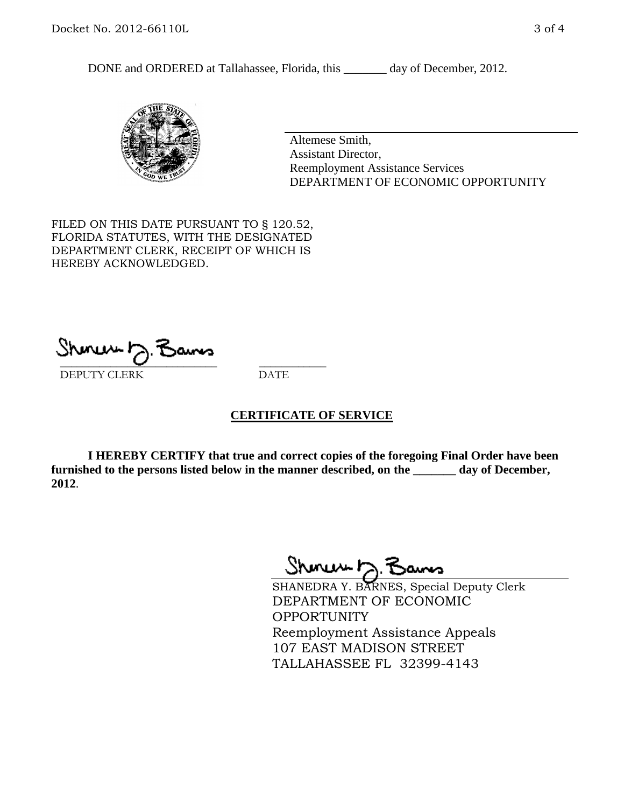DONE and ORDERED at Tallahassee, Florida, this \_\_\_\_\_\_\_ day of December, 2012.



Altemese Smith, Assistant Director, Reemployment Assistance Services DEPARTMENT OF ECONOMIC OPPORTUNITY

FILED ON THIS DATE PURSUANT TO § 120.52, FLORIDA STATUTES, WITH THE DESIGNATED DEPARTMENT CLERK, RECEIPT OF WHICH IS HEREBY ACKNOWLEDGED.

 $\overline{\phantom{a}}$  ,  $\overline{\phantom{a}}$  ,  $\overline{\phantom{a}}$  ,  $\overline{\phantom{a}}$  ,  $\overline{\phantom{a}}$  ,  $\overline{\phantom{a}}$  ,  $\overline{\phantom{a}}$  ,  $\overline{\phantom{a}}$ DEPUTY CLERK DATE

## **CERTIFICATE OF SERVICE**

**I HEREBY CERTIFY that true and correct copies of the foregoing Final Order have been furnished to the persons listed below in the manner described, on the \_\_\_\_\_\_\_ day of December, 2012**.

Sheren J. Bams

SHANEDRA Y. BARNES, Special Deputy Clerk DEPARTMENT OF ECONOMIC OPPORTUNITY Reemployment Assistance Appeals 107 EAST MADISON STREET TALLAHASSEE FL 32399-4143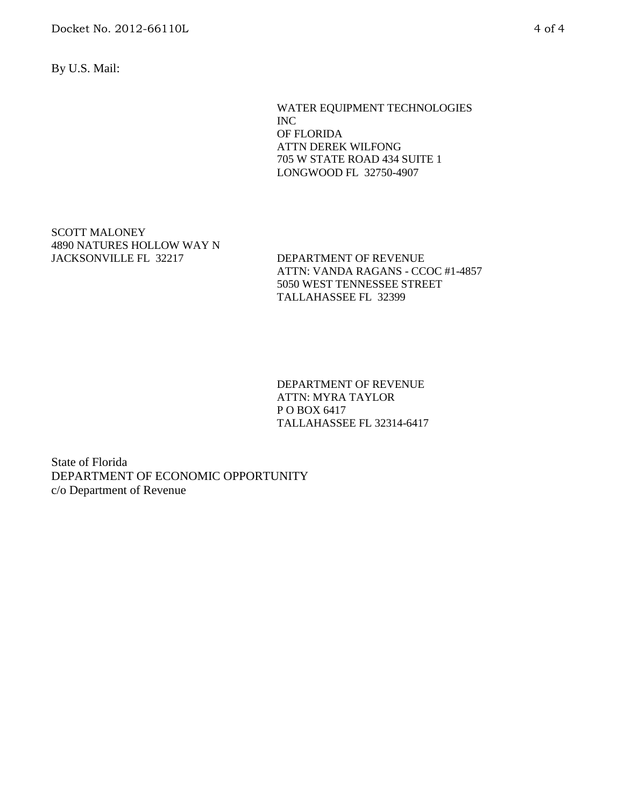Docket No. 2012-66110L 4 of 4

By U.S. Mail:

WATER EQUIPMENT TECHNOLOGIES INC OF FLORIDA ATTN DEREK WILFONG 705 W STATE ROAD 434 SUITE 1 LONGWOOD FL 32750-4907

SCOTT MALONEY 4890 NATURES HOLLOW WAY N JACKSONVILLE FL 32217 DEPARTMENT OF REVENUE

ATTN: VANDA RAGANS - CCOC #1-4857 5050 WEST TENNESSEE STREET TALLAHASSEE FL 32399

DEPARTMENT OF REVENUE ATTN: MYRA TAYLOR P O BOX 6417 TALLAHASSEE FL 32314-6417

State of Florida DEPARTMENT OF ECONOMIC OPPORTUNITY c/o Department of Revenue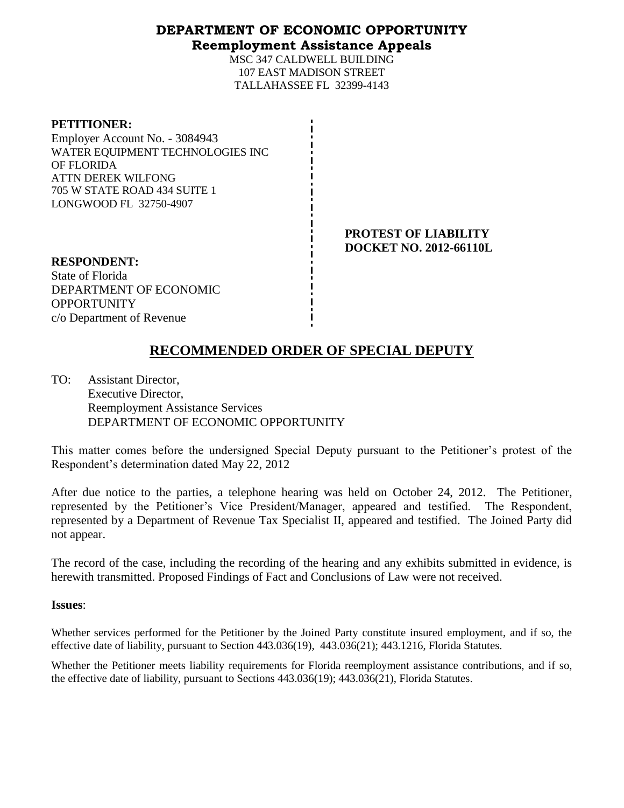## **DEPARTMENT OF ECONOMIC OPPORTUNITY Reemployment Assistance Appeals**

MSC 347 CALDWELL BUILDING 107 EAST MADISON STREET TALLAHASSEE FL 32399-4143

### **PETITIONER:**

Employer Account No. - 3084943 WATER EQUIPMENT TECHNOLOGIES INC OF FLORIDA ATTN DEREK WILFONG 705 W STATE ROAD 434 SUITE 1 LONGWOOD FL 32750-4907

> **PROTEST OF LIABILITY DOCKET NO. 2012-66110L**

**RESPONDENT:** State of Florida DEPARTMENT OF ECONOMIC **OPPORTUNITY** c/o Department of Revenue

# **RECOMMENDED ORDER OF SPECIAL DEPUTY**

TO: Assistant Director, Executive Director, Reemployment Assistance Services DEPARTMENT OF ECONOMIC OPPORTUNITY

This matter comes before the undersigned Special Deputy pursuant to the Petitioner's protest of the Respondent's determination dated May 22, 2012

After due notice to the parties, a telephone hearing was held on October 24, 2012. The Petitioner, represented by the Petitioner's Vice President/Manager, appeared and testified. The Respondent, represented by a Department of Revenue Tax Specialist II, appeared and testified. The Joined Party did not appear.

The record of the case, including the recording of the hearing and any exhibits submitted in evidence, is herewith transmitted. Proposed Findings of Fact and Conclusions of Law were not received.

## **Issues**:

Whether services performed for the Petitioner by the Joined Party constitute insured employment, and if so, the effective date of liability, pursuant to Section 443.036(19), 443.036(21); 443.1216, Florida Statutes.

Whether the Petitioner meets liability requirements for Florida reemployment assistance contributions, and if so, the effective date of liability, pursuant to Sections 443.036(19); 443.036(21), Florida Statutes.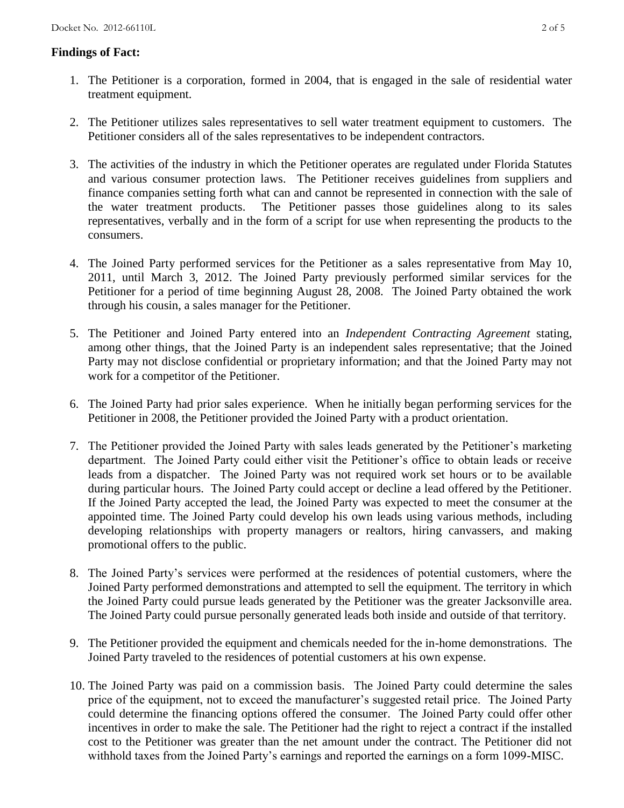## **Findings of Fact:**

- 1. The Petitioner is a corporation, formed in 2004, that is engaged in the sale of residential water treatment equipment.
- 2. The Petitioner utilizes sales representatives to sell water treatment equipment to customers. The Petitioner considers all of the sales representatives to be independent contractors.
- 3. The activities of the industry in which the Petitioner operates are regulated under Florida Statutes and various consumer protection laws. The Petitioner receives guidelines from suppliers and finance companies setting forth what can and cannot be represented in connection with the sale of the water treatment products. The Petitioner passes those guidelines along to its sales representatives, verbally and in the form of a script for use when representing the products to the consumers.
- 4. The Joined Party performed services for the Petitioner as a sales representative from May 10, 2011, until March 3, 2012. The Joined Party previously performed similar services for the Petitioner for a period of time beginning August 28, 2008. The Joined Party obtained the work through his cousin, a sales manager for the Petitioner.
- 5. The Petitioner and Joined Party entered into an *Independent Contracting Agreement* stating, among other things, that the Joined Party is an independent sales representative; that the Joined Party may not disclose confidential or proprietary information; and that the Joined Party may not work for a competitor of the Petitioner.
- 6. The Joined Party had prior sales experience. When he initially began performing services for the Petitioner in 2008, the Petitioner provided the Joined Party with a product orientation.
- 7. The Petitioner provided the Joined Party with sales leads generated by the Petitioner's marketing department. The Joined Party could either visit the Petitioner's office to obtain leads or receive leads from a dispatcher. The Joined Party was not required work set hours or to be available during particular hours. The Joined Party could accept or decline a lead offered by the Petitioner. If the Joined Party accepted the lead, the Joined Party was expected to meet the consumer at the appointed time. The Joined Party could develop his own leads using various methods, including developing relationships with property managers or realtors, hiring canvassers, and making promotional offers to the public.
- 8. The Joined Party's services were performed at the residences of potential customers, where the Joined Party performed demonstrations and attempted to sell the equipment. The territory in which the Joined Party could pursue leads generated by the Petitioner was the greater Jacksonville area. The Joined Party could pursue personally generated leads both inside and outside of that territory.
- 9. The Petitioner provided the equipment and chemicals needed for the in-home demonstrations. The Joined Party traveled to the residences of potential customers at his own expense.
- 10. The Joined Party was paid on a commission basis. The Joined Party could determine the sales price of the equipment, not to exceed the manufacturer's suggested retail price. The Joined Party could determine the financing options offered the consumer. The Joined Party could offer other incentives in order to make the sale. The Petitioner had the right to reject a contract if the installed cost to the Petitioner was greater than the net amount under the contract. The Petitioner did not withhold taxes from the Joined Party's earnings and reported the earnings on a form 1099-MISC.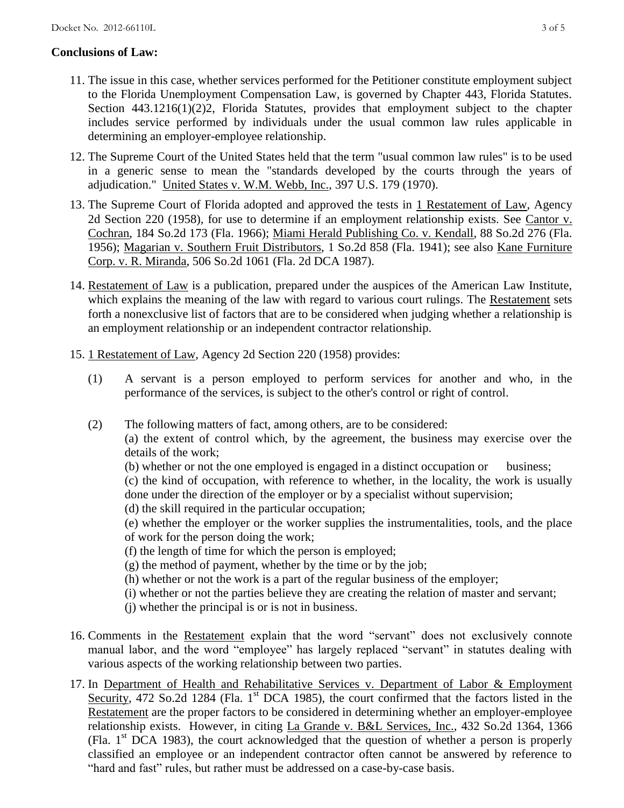## **Conclusions of Law:**

- 11. The issue in this case, whether services performed for the Petitioner constitute employment subject to the Florida Unemployment Compensation Law, is governed by Chapter 443, Florida Statutes. Section 443.1216(1)(2)2, Florida Statutes, provides that employment subject to the chapter includes service performed by individuals under the usual common law rules applicable in determining an employer-employee relationship.
- 12. The Supreme Court of the United States held that the term "usual common law rules" is to be used in a generic sense to mean the "standards developed by the courts through the years of adjudication." United States v. W.M. Webb, Inc., 397 U.S. 179 (1970).
- 13. The Supreme Court of Florida adopted and approved the tests in 1 Restatement of Law, Agency 2d Section 220 (1958), for use to determine if an employment relationship exists. See Cantor v. Cochran, 184 So.2d 173 (Fla. 1966); Miami Herald Publishing Co. v. Kendall, 88 So.2d 276 (Fla. 1956); Magarian v. Southern Fruit Distributors, 1 So.2d 858 (Fla. 1941); see also Kane Furniture Corp. v. R. Miranda, 506 So.2d 1061 (Fla. 2d DCA 1987).
- 14. Restatement of Law is a publication, prepared under the auspices of the American Law Institute, which explains the meaning of the law with regard to various court rulings. The Restatement sets forth a nonexclusive list of factors that are to be considered when judging whether a relationship is an employment relationship or an independent contractor relationship.
- 15. 1 Restatement of Law, Agency 2d Section 220 (1958) provides:
	- (1) A servant is a person employed to perform services for another and who, in the performance of the services, is subject to the other's control or right of control.
	- (2) The following matters of fact, among others, are to be considered:

(a) the extent of control which, by the agreement, the business may exercise over the details of the work;

(b) whether or not the one employed is engaged in a distinct occupation or business;

(c) the kind of occupation, with reference to whether, in the locality, the work is usually done under the direction of the employer or by a specialist without supervision;

(d) the skill required in the particular occupation;

(e) whether the employer or the worker supplies the instrumentalities, tools, and the place of work for the person doing the work;

(f) the length of time for which the person is employed;

- (g) the method of payment, whether by the time or by the job;
- (h) whether or not the work is a part of the regular business of the employer;
- (i) whether or not the parties believe they are creating the relation of master and servant;
- (j) whether the principal is or is not in business.
- 16. Comments in the Restatement explain that the word "servant" does not exclusively connote manual labor, and the word "employee" has largely replaced "servant" in statutes dealing with various aspects of the working relationship between two parties.
- 17. In Department of Health and Rehabilitative Services v. Department of Labor & Employment Security, 472 So.2d 1284 (Fla. 1<sup>st</sup> DCA 1985), the court confirmed that the factors listed in the Restatement are the proper factors to be considered in determining whether an employer-employee relationship exists. However, in citing La Grande v. B&L Services, Inc., 432 So.2d 1364, 1366 (Fla.  $1<sup>st</sup>$  DCA 1983), the court acknowledged that the question of whether a person is properly classified an employee or an independent contractor often cannot be answered by reference to "hard and fast" rules, but rather must be addressed on a case-by-case basis.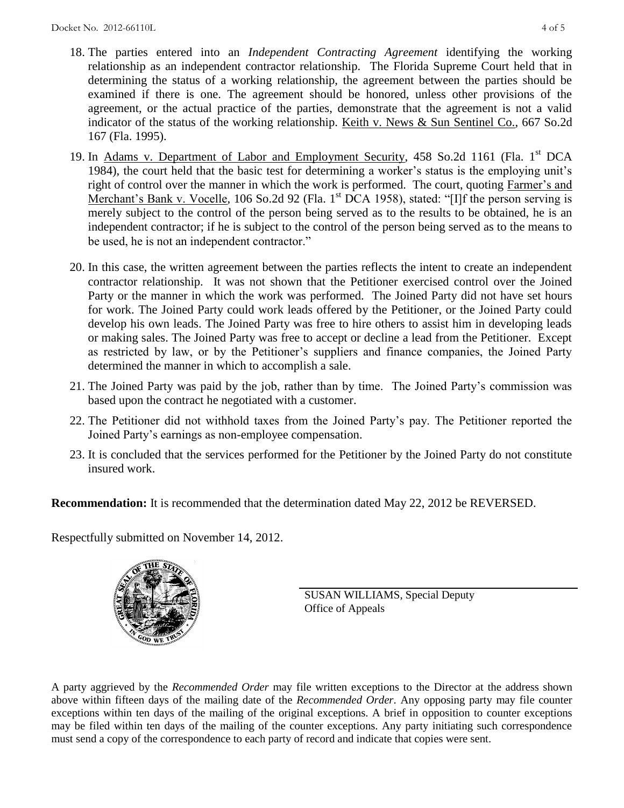- 18. The parties entered into an *Independent Contracting Agreement* identifying the working relationship as an independent contractor relationship. The Florida Supreme Court held that in determining the status of a working relationship, the agreement between the parties should be examined if there is one. The agreement should be honored, unless other provisions of the agreement, or the actual practice of the parties, demonstrate that the agreement is not a valid indicator of the status of the working relationship. Keith v. News & Sun Sentinel Co., 667 So.2d 167 (Fla. 1995).
- 19. In Adams v. Department of Labor and Employment Security, 458 So.2d 1161 (Fla. 1<sup>st</sup> DCA 1984), the court held that the basic test for determining a worker's status is the employing unit's right of control over the manner in which the work is performed. The court, quoting Farmer's and Merchant's Bank v. Vocelle, 106 So.2d 92 (Fla. 1<sup>st</sup> DCA 1958), stated: "[I]f the person serving is merely subject to the control of the person being served as to the results to be obtained, he is an independent contractor; if he is subject to the control of the person being served as to the means to be used, he is not an independent contractor."
- 20. In this case, the written agreement between the parties reflects the intent to create an independent contractor relationship. It was not shown that the Petitioner exercised control over the Joined Party or the manner in which the work was performed. The Joined Party did not have set hours for work. The Joined Party could work leads offered by the Petitioner, or the Joined Party could develop his own leads. The Joined Party was free to hire others to assist him in developing leads or making sales. The Joined Party was free to accept or decline a lead from the Petitioner. Except as restricted by law, or by the Petitioner's suppliers and finance companies, the Joined Party determined the manner in which to accomplish a sale.
- 21. The Joined Party was paid by the job, rather than by time. The Joined Party's commission was based upon the contract he negotiated with a customer.
- 22. The Petitioner did not withhold taxes from the Joined Party's pay. The Petitioner reported the Joined Party's earnings as non-employee compensation.
- 23. It is concluded that the services performed for the Petitioner by the Joined Party do not constitute insured work.

**Recommendation:** It is recommended that the determination dated May 22, 2012 be REVERSED.

Respectfully submitted on November 14, 2012.



SUSAN WILLIAMS, Special Deputy Office of Appeals

A party aggrieved by the *Recommended Order* may file written exceptions to the Director at the address shown above within fifteen days of the mailing date of the *Recommended Order*. Any opposing party may file counter exceptions within ten days of the mailing of the original exceptions. A brief in opposition to counter exceptions may be filed within ten days of the mailing of the counter exceptions. Any party initiating such correspondence must send a copy of the correspondence to each party of record and indicate that copies were sent.